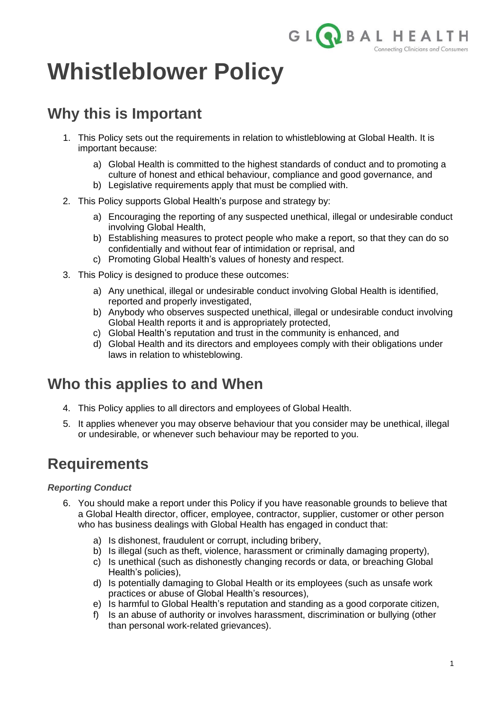

# **Whistleblower Policy**

# **Why this is Important**

- 1. This Policy sets out the requirements in relation to whistleblowing at Global Health. It is important because:
	- a) Global Health is committed to the highest standards of conduct and to promoting a culture of honest and ethical behaviour, compliance and good governance, and
	- b) Legislative requirements apply that must be complied with.
- 2. This Policy supports Global Health's purpose and strategy by:
	- a) Encouraging the reporting of any suspected unethical, illegal or undesirable conduct involving Global Health,
	- b) Establishing measures to protect people who make a report, so that they can do so confidentially and without fear of intimidation or reprisal, and
	- c) Promoting Global Health's values of honesty and respect.
- 3. This Policy is designed to produce these outcomes:
	- a) Any unethical, illegal or undesirable conduct involving Global Health is identified, reported and properly investigated,
	- b) Anybody who observes suspected unethical, illegal or undesirable conduct involving Global Health reports it and is appropriately protected,
	- c) Global Health's reputation and trust in the community is enhanced, and
	- d) Global Health and its directors and employees comply with their obligations under laws in relation to whisteblowing.

## **Who this applies to and When**

- 4. This Policy applies to all directors and employees of Global Health.
- 5. It applies whenever you may observe behaviour that you consider may be unethical, illegal or undesirable, or whenever such behaviour may be reported to you.

### **Requirements**

### *Reporting Conduct*

- 6. You should make a report under this Policy if you have reasonable grounds to believe that a Global Health director, officer, employee, contractor, supplier, customer or other person who has business dealings with Global Health has engaged in conduct that:
	- a) Is dishonest, fraudulent or corrupt, including bribery,
	- b) Is illegal (such as theft, violence, harassment or criminally damaging property),
	- c) Is unethical (such as dishonestly changing records or data, or breaching Global Health's policies),
	- d) Is potentially damaging to Global Health or its employees (such as unsafe work practices or abuse of Global Health's resources),
	- e) Is harmful to Global Health's reputation and standing as a good corporate citizen,
	- f) Is an abuse of authority or involves harassment, discrimination or bullying (other than personal work-related grievances).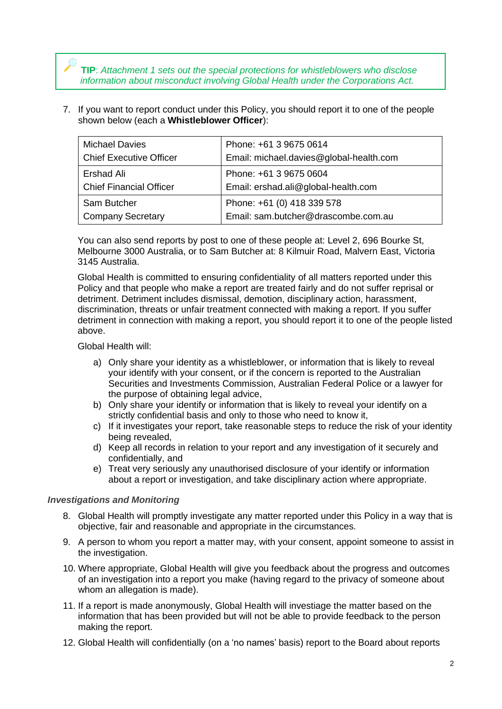**TIP**: *Attachment 1 sets out the special protections for whistleblowers who disclose information about misconduct involving Global Health under the Corporations Act.*

7. If you want to report conduct under this Policy, you should report it to one of the people shown below (each a **Whistleblower Officer**):

| <b>Michael Davies</b>          | Phone: +61 3 9675 0614                  |  |
|--------------------------------|-----------------------------------------|--|
| <b>Chief Executive Officer</b> | Email: michael.davies@global-health.com |  |
| Ershad Ali                     | Phone: +61 3 9675 0604                  |  |
| <b>Chief Financial Officer</b> | Email: ershad.ali@global-health.com     |  |
| Sam Butcher                    | Phone: +61 (0) 418 339 578              |  |
| <b>Company Secretary</b>       | Email: sam.butcher@drascombe.com.au     |  |

You can also send reports by post to one of these people at: Level 2, 696 Bourke St, Melbourne 3000 Australia, or to Sam Butcher at: 8 Kilmuir Road, Malvern East, Victoria 3145 Australia.

Global Health is committed to ensuring confidentiality of all matters reported under this Policy and that people who make a report are treated fairly and do not suffer reprisal or detriment. Detriment includes dismissal, demotion, disciplinary action, harassment, discrimination, threats or unfair treatment connected with making a report. If you suffer detriment in connection with making a report, you should report it to one of the people listed above.

Global Health will:

- a) Only share your identity as a whistleblower, or information that is likely to reveal your identify with your consent, or if the concern is reported to the Australian Securities and Investments Commission, Australian Federal Police or a lawyer for the purpose of obtaining legal advice,
- b) Only share your identify or information that is likely to reveal your identify on a strictly confidential basis and only to those who need to know it,
- c) If it investigates your report, take reasonable steps to reduce the risk of your identity being revealed,
- d) Keep all records in relation to your report and any investigation of it securely and confidentially, and
- e) Treat very seriously any unauthorised disclosure of your identify or information about a report or investigation, and take disciplinary action where appropriate.

#### *Investigations and Monitoring*

- 8. Global Health will promptly investigate any matter reported under this Policy in a way that is objective, fair and reasonable and appropriate in the circumstances.
- 9. A person to whom you report a matter may, with your consent, appoint someone to assist in the investigation.
- 10. Where appropriate, Global Health will give you feedback about the progress and outcomes of an investigation into a report you make (having regard to the privacy of someone about whom an allegation is made).
- 11. If a report is made anonymously, Global Health will investiage the matter based on the information that has been provided but will not be able to provide feedback to the person making the report.
- 12. Global Health will confidentially (on a 'no names' basis) report to the Board about reports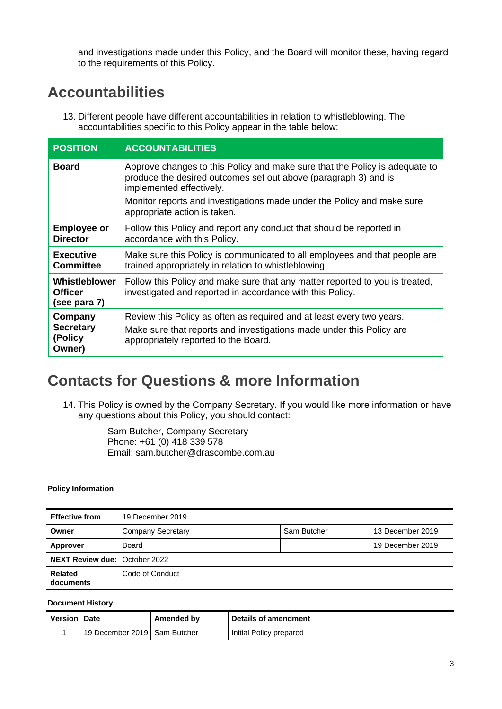and investigations made under this Policy, and the Board will monitor these, having regard to the requirements of this Policy.

### **Accountabilities**

13. Different people have different accountabilities in relation to whistleblowing. The accountabilities specific to this Policy appear in the table below:

| <b>POSITION</b>                                 | <b>ACCOUNTABILITIES</b>                                                                                                                                                    |  |
|-------------------------------------------------|----------------------------------------------------------------------------------------------------------------------------------------------------------------------------|--|
| <b>Board</b>                                    | Approve changes to this Policy and make sure that the Policy is adequate to<br>produce the desired outcomes set out above (paragraph 3) and is<br>implemented effectively. |  |
|                                                 | Monitor reports and investigations made under the Policy and make sure<br>appropriate action is taken.                                                                     |  |
| <b>Employee or</b><br><b>Director</b>           | Follow this Policy and report any conduct that should be reported in<br>accordance with this Policy.                                                                       |  |
| <b>Executive</b><br><b>Committee</b>            | Make sure this Policy is communicated to all employees and that people are<br>trained appropriately in relation to whistleblowing.                                         |  |
| Whistleblower<br><b>Officer</b><br>(see para 7) | Follow this Policy and make sure that any matter reported to you is treated,<br>investigated and reported in accordance with this Policy.                                  |  |
| Company                                         | Review this Policy as often as required and at least every two years.                                                                                                      |  |
| <b>Secretary</b><br>(Policy<br>Owner)           | Make sure that reports and investigations made under this Policy are<br>appropriately reported to the Board.                                                               |  |

### **Contacts for Questions & more Information**

14. This Policy is owned by the Company Secretary. If you would like more information or have any questions about this Policy, you should contact:

> Sam Butcher, Company Secretary Phone: +61 (0) 418 339 578 Email: [sam.butcher@drascombe.com.au](mailto:sam.butcher@drascombe.com.au)

#### **Policy Information**

| <b>Effective from</b>                | 19 December 2019         |             |                  |
|--------------------------------------|--------------------------|-------------|------------------|
| Owner                                | <b>Company Secretary</b> | Sam Butcher | 13 December 2019 |
| Approver                             | Board                    |             | 19 December 2019 |
| <b>NEXT Review due: October 2022</b> |                          |             |                  |
| <b>Related</b><br>documents          | Code of Conduct          |             |                  |

#### **Document History**

| <b>Version Date</b> |                                | Amended by | <b>Details of amendment</b> |
|---------------------|--------------------------------|------------|-----------------------------|
|                     | 19 December 2019   Sam Butcher |            | Initial Policy prepared     |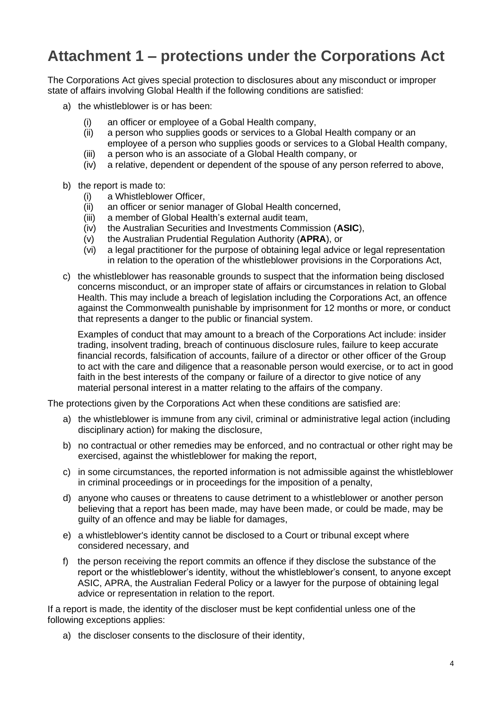# **Attachment 1 – protections under the Corporations Act**

The Corporations Act gives special protection to disclosures about any misconduct or improper state of affairs involving Global Health if the following conditions are satisfied:

- a) the whistleblower is or has been:
	- (i) an officer or employee of a Gobal Health company,
	- (ii) a person who supplies goods or services to a Global Health company or an employee of a person who supplies goods or services to a Global Health company,
	- (iii) a person who is an associate of a Global Health company, or
	- (iv) a relative, dependent or dependent of the spouse of any person referred to above,
- b) the report is made to:
	- (i) a Whistleblower Officer,
	- (ii) an officer or senior manager of Global Health concerned,
	- (iii) a member of Global Health's external audit team,
	- (iv) the Australian Securities and Investments Commission (**ASIC**),
	- (v) the Australian Prudential Regulation Authority (**APRA**), or
	- (vi) a legal practitioner for the purpose of obtaining legal advice or legal representation in relation to the operation of the whistleblower provisions in the Corporations Act,
- c) the whistleblower has reasonable grounds to suspect that the information being disclosed concerns misconduct, or an improper state of affairs or circumstances in relation to Global Health. This may include a breach of legislation including the Corporations Act, an offence against the Commonwealth punishable by imprisonment for 12 months or more, or conduct that represents a danger to the public or financial system.

Examples of conduct that may amount to a breach of the Corporations Act include: insider trading, insolvent trading, breach of continuous disclosure rules, failure to keep accurate financial records, falsification of accounts, failure of a director or other officer of the Group to act with the care and diligence that a reasonable person would exercise, or to act in good faith in the best interests of the company or failure of a director to give notice of any material personal interest in a matter relating to the affairs of the company.

The protections given by the Corporations Act when these conditions are satisfied are:

- a) the whistleblower is immune from any civil, criminal or administrative legal action (including disciplinary action) for making the disclosure,
- b) no contractual or other remedies may be enforced, and no contractual or other right may be exercised, against the whistleblower for making the report,
- c) in some circumstances, the reported information is not admissible against the whistleblower in criminal proceedings or in proceedings for the imposition of a penalty,
- d) anyone who causes or threatens to cause detriment to a whistleblower or another person believing that a report has been made, may have been made, or could be made, may be guilty of an offence and may be liable for damages,
- e) a whistleblower's identity cannot be disclosed to a Court or tribunal except where considered necessary, and
- f) the person receiving the report commits an offence if they disclose the substance of the report or the whistleblower's identity, without the whistleblower's consent, to anyone except ASIC, APRA, the Australian Federal Policy or a lawyer for the purpose of obtaining legal advice or representation in relation to the report.

If a report is made, the identity of the discloser must be kept confidential unless one of the following exceptions applies:

a) the discloser consents to the disclosure of their identity,